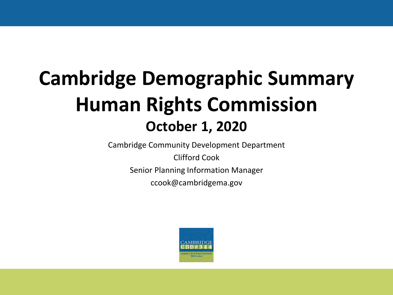# **Cambridge Demographic Summary Human Rights Commission October 1, 2020**

Cambridge Community Development Department

Clifford Cook Senior Planning Information Manager

ccook@cambridgema.gov

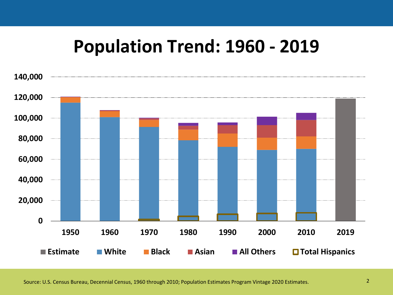# **Population Trend: 1960 - 2019**

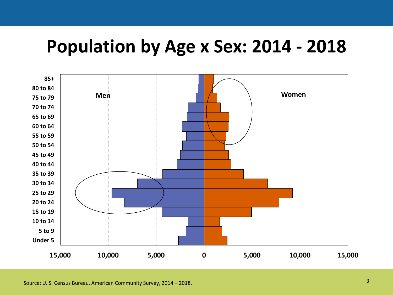## **Population by Age x Sex: 2014 - 2018**

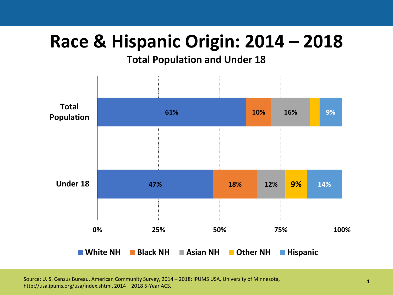# **Race & Hispanic Origin: 2014 – 2018**

#### **Total Population and Under 18**



Source: U. S. Census Bureau, American Community Survey, 2014 – 2018; IPUMS USA, University of Minnesota, http://usa.ipums.org/usa/index.shtml, 2014 – 2018 5-Year ACS.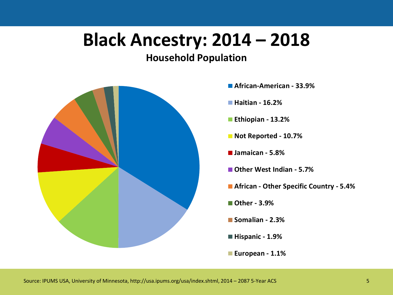# **Black Ancestry: 2014 – 2018**



- **African-American 33.9%**
- **Haitian 16.2%**
- **Ethiopian 13.2%**
- **Not Reported 10.7%**
- **Jamaican 5.8%**
- **Other West Indian 5.7%**
- **African Other Specific Country 5.4%**
- **Other 3.9%**
- **Somalian 2.3%**
- **Hispanic 1.9%**
- **European 1.1%**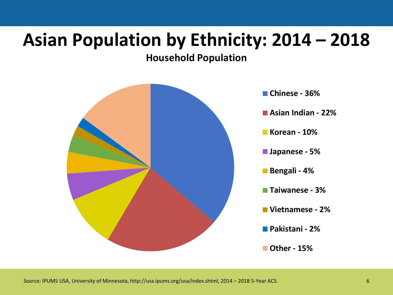# **Asian Population by Ethnicity: 2014 – 2018**

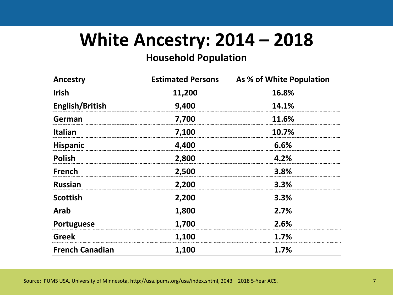# **White Ancestry: 2014 – 2018**

| <b>Ancestry</b>        | <b>Estimated Persons</b> | As % of White Population |
|------------------------|--------------------------|--------------------------|
| <b>Irish</b>           | 11,200                   | 16.8%                    |
| English/British        | 9,400                    | 14.1%                    |
| German                 | 7,700                    | 11.6%                    |
| <b>Italian</b>         | 7,100                    | 10.7%                    |
| <b>Hispanic</b>        | 4,400                    | 6.6%                     |
| <b>Polish</b>          | 2,800                    | 4.2%                     |
| <b>French</b>          | 2,500                    | 3.8%                     |
| <b>Russian</b>         | 2,200                    | 3.3%                     |
| <b>Scottish</b>        | 2,200                    | 3.3%                     |
| <b>Arab</b>            | 1,800                    | 2.7%                     |
| Portuguese             | 1,700                    | 2.6%                     |
| <b>Greek</b>           | 1,100                    | 1.7%                     |
| <b>French Canadian</b> | 1,100                    | 1.7%                     |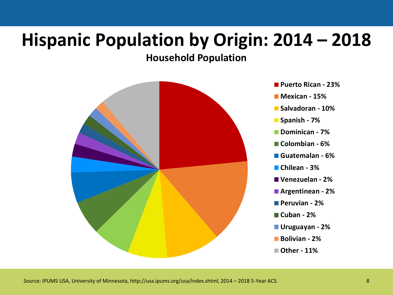# **Hispanic Population by Origin: 2014 – 2018**



- **Puerto Rican 23%**
- **Mexican 15%**
- **Salvadoran 10%**
- **Spanish 7%**
- **Dominican 7%**
- **Colombian 6%**
- **Guatemalan 6%**
- **Chilean 3%**
- **Venezuelan 2%**
- **Argentinean 2%**
- **Peruvian 2%**
- **Cuban 2%**
- **Uruguayan 2%**
- **Bolivian 2%**
- **Other 11%**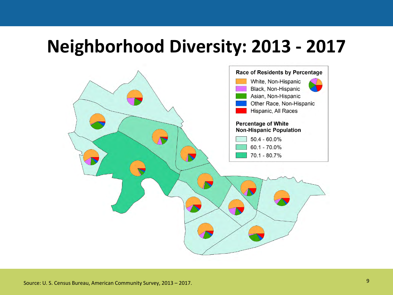# **Neighborhood Diversity: 2013 - 2017**

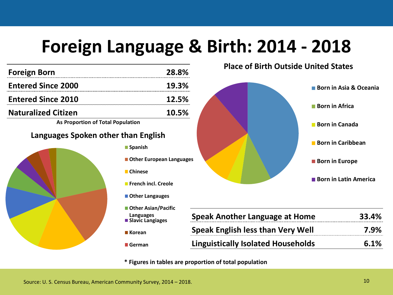# **Foreign Language & Birth: 2014 - 2018**

| <b>Foreign Born</b>                 | 28.8%                                         |            |  |  |
|-------------------------------------|-----------------------------------------------|------------|--|--|
| <b>Entered Since 2000</b>           | 19.3%                                         |            |  |  |
| <b>Entered Since 2010</b>           | 12.5%                                         |            |  |  |
| <b>Naturalized Citizen</b>          | 10.5%                                         |            |  |  |
| As Proportion of Total Population   |                                               |            |  |  |
| Languages Spoken other than English |                                               |            |  |  |
|                                     | <b>Spanish</b>                                |            |  |  |
|                                     | <b>Other European Languages</b>               |            |  |  |
|                                     | <b>■</b> Chinese                              |            |  |  |
|                                     | <b>French incl. Creole</b><br>Other Langauges |            |  |  |
|                                     |                                               |            |  |  |
|                                     | ■ Other Asian/Pacific                         |            |  |  |
|                                     | Languages<br>■ Slavic Langiages               | <b>Spe</b> |  |  |
|                                     | ■ Korean                                      | <b>Spe</b> |  |  |
|                                     | German                                        | Ling       |  |  |
|                                     |                                               |            |  |  |

**Place of Birth Outside United States**



| <b>Speak Another Language at Home</b>     | 33.4% |
|-------------------------------------------|-------|
| <b>Speak English less than Very Well</b>  | 7.9%  |
| <b>Linguistically Isolated Households</b> | 6.1%  |

**\* Figures in tables are proportion of total population**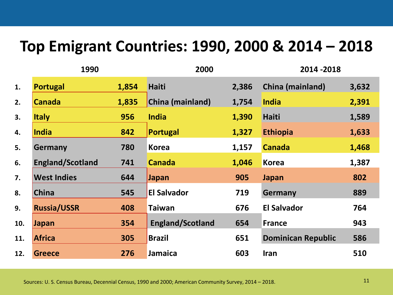#### **Top Emigrant Countries: 1990, 2000 & 2014 – 2018**

|     | 1990                    |       | 2000                    |       | 2014 - 2018               |       |
|-----|-------------------------|-------|-------------------------|-------|---------------------------|-------|
| 1.  | <b>Portugal</b>         | 1,854 | <b>Haiti</b>            | 2,386 | China (mainland)          | 3,632 |
| 2.  | <b>Canada</b>           | 1,835 | China (mainland)        | 1,754 | <b>India</b>              | 2,391 |
| 3.  | <b>Italy</b>            | 956   | <b>India</b>            | 1,390 | <b>Haiti</b>              | 1,589 |
| 4.  | <b>India</b>            | 842   | <b>Portugal</b>         | 1,327 | <b>Ethiopia</b>           | 1,633 |
| 5.  | Germany                 | 780   | <b>Korea</b>            | 1,157 | <b>Canada</b>             | 1,468 |
| 6.  | <b>England/Scotland</b> | 741   | <b>Canada</b>           | 1,046 | <b>Korea</b>              | 1,387 |
| 7.  | <b>West Indies</b>      | 644   | Japan                   | 905   | <b>Japan</b>              | 802   |
| 8.  | <b>China</b>            | 545   | <b>El Salvador</b>      | 719   | Germany                   | 889   |
| 9.  | <b>Russia/USSR</b>      | 408   | <b>Taiwan</b>           | 676   | <b>El Salvador</b>        | 764   |
| 10. | Japan                   | 354   | <b>England/Scotland</b> | 654   | <b>France</b>             | 943   |
| 11. | <b>Africa</b>           | 305   | <b>Brazil</b>           | 651   | <b>Dominican Republic</b> | 586   |
| 12. | <b>Greece</b>           | 276   | Jamaica                 | 603   | Iran                      | 510   |

Sources: U. S. Census Bureau, Decennial Census, 1990 and 2000; American Community Survey, 2014 – 2018. 11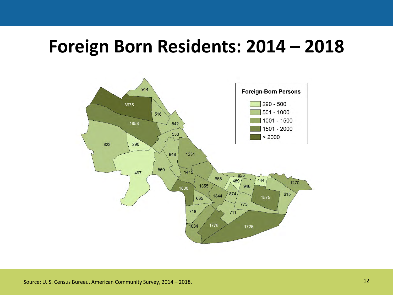### **Foreign Born Residents: 2014 – 2018**

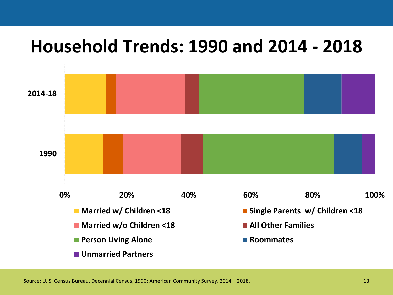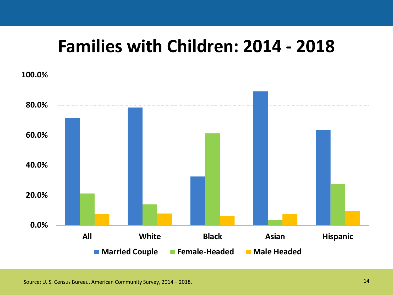## **Families with Children: 2014 - 2018**



Source: U. S. Census Bureau, American Community Survey, 2014 – 2018.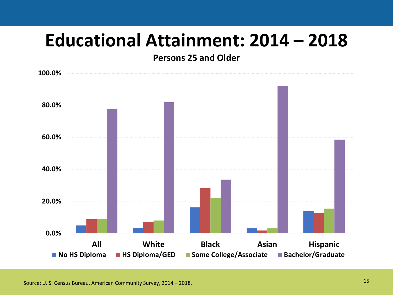# **Educational Attainment: 2014 – 2018**

**Persons 25 and Older**

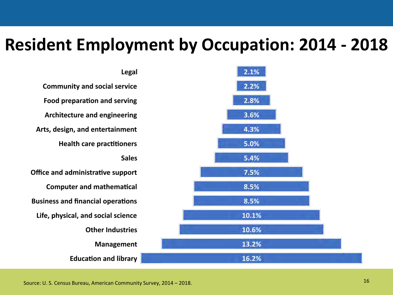#### **Resident Employment by Occupation: 2014 - 2018**

Legal 2.1% **Community and social service** 2.2% Food preparation and serving 2.8% Architecture and engineering 3.6% Arts, design, and entertainment 4.3% **Health care practitioners** 5.0% **Sales** 5.4% Office and administrative support 7.5% **Computer and mathematical** 8.5% **Business and financial operations** 8.5% Life, physical, and social science 10.1% **Other Industries** 10.6% 13.2% **Management Education and library** 16.2%

16 Source: U. S. Census Bureau, American Community Survey, 2014 – 2018.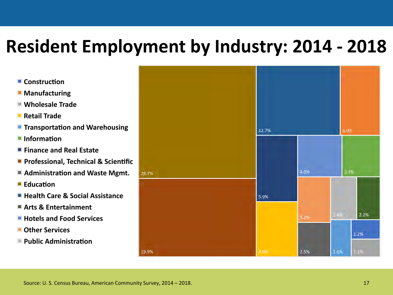# **Resident Employment by Industry: 2014 - 2018**

- Construction
- **Manufacturing**
- **Mholesale Trade**
- Retail Trade
- **The Transportation and Warehousing**
- $\blacksquare$  Information
- Finance and Real Estate
- **Professional, Technical & Scientific**
- Administration and Waste Mgmt.
- **Education**
- **Health Care & Social Assistance**
- Arts & Entertainment
- **Hotels and Food Services**
- Other Services
- Public Administration

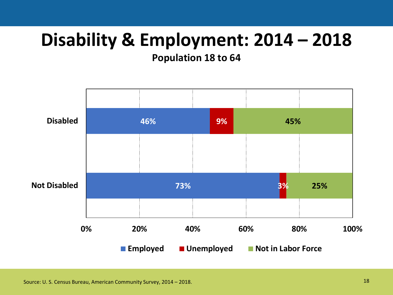# **Disability & Employment: 2014 – 2018**

**Population 18 to 64**

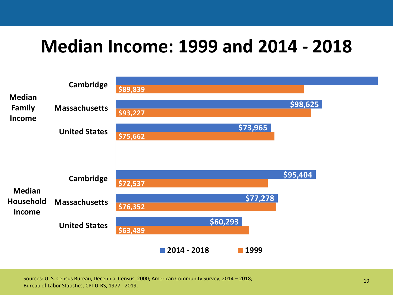# **Median Income: 1999 and 2014 - 2018**



19 Sources: U. S. Census Bureau, Decennial Census, 2000; American Community Survey, 2014 – 2018; Bureau of Labor Statistics, CPI-U-RS, 1977 - 2019.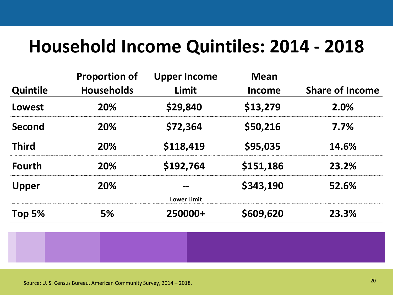# **Household Income Quintiles: 2014 - 2018**

|                 | <b>Proportion of</b> | <b>Upper Income</b> | <b>Mean</b> |                        |
|-----------------|----------------------|---------------------|-------------|------------------------|
| <b>Quintile</b> | <b>Households</b>    | Limit               | Income      | <b>Share of Income</b> |
| Lowest          | <b>20%</b>           | \$29,840            | \$13,279    | 2.0%                   |
| <b>Second</b>   | 20%                  | \$72,364            | \$50,216    | 7.7%                   |
| <b>Third</b>    | <b>20%</b>           | \$118,419           | \$95,035    | 14.6%                  |
| <b>Fourth</b>   | 20%                  | \$192,764           | \$151,186   | 23.2%                  |
| <b>Upper</b>    | <b>20%</b>           |                     | \$343,190   | 52.6%                  |
|                 |                      | <b>Lower Limit</b>  |             |                        |
| Top $5%$        | <b>5%</b>            | 250000+             | \$609,620   | 23.3%                  |



<sup>20</sup> Source: U. S. Census Bureau, American Community Survey, 2014 – 2018.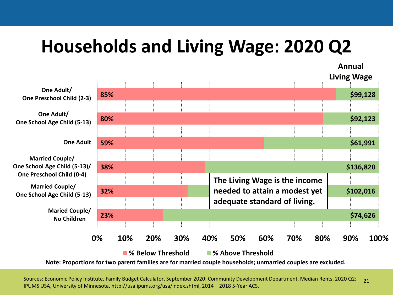# **Households and Living Wage: 2020 Q2**

**23% 32% 38% 59% 80% 85% \$74,626 \$102,016 \$136,820 \$61,991 \$92,123 \$99,128 0% 10% 20% 30% 40% 50% 60% 70% 80% 90% 100% Maried Couple/ No Children Married Couple/ One School Age Child (5-13) Married Couple/ One School Age Child (5-13)/ One Preschool Child (0-4) One Adult One Adult/ One School Age Child (5-13) One Adult/ One Preschool Child (2-3) The Living Wage is the income needed to attain a modest yet adequate standard of living. Annual Living Wage**

**% Below Threshold % Above Threshold**

**Note: Proportions for two parent families are for married couple households; unmarried couples are excluded.**

Sources: Economic Policy Institute, Family Budget Calculator, September 2020; Community Development Department, Median Rents, 2020 Q2; IPUMS USA, University of Minnesota, http://usa.ipums.org/usa/index.shtml, 2014 – 2018 5-Year ACS.  $21$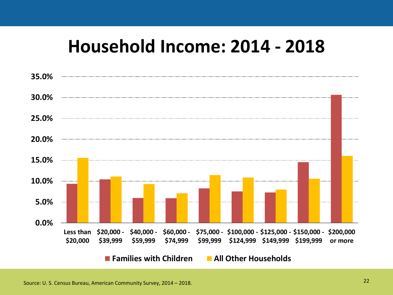# **Household Income: 2014 - 2018**

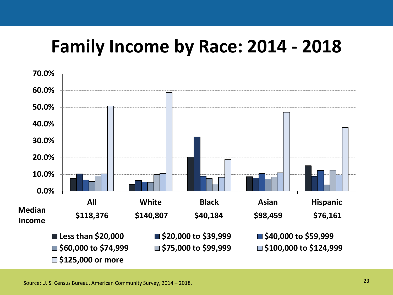# **Family Income by Race: 2014 - 2018**



23 Source: U. S. Census Bureau, American Community Survey, 2014 – 2018.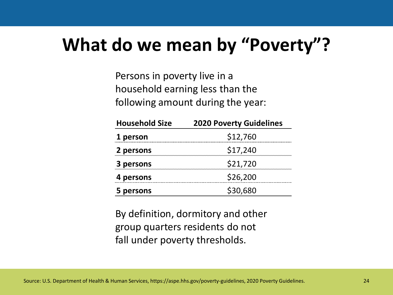# **What do we mean by "Poverty"?**

Persons in poverty live in a household earning less than the following amount during the year:

| <b>Household Size</b> | <b>2020 Poverty Guidelines</b> |  |  |  |
|-----------------------|--------------------------------|--|--|--|
| 1 person              | \$12,760                       |  |  |  |
| 2 persons             | \$17,240                       |  |  |  |
| 3 persons             | \$21,720                       |  |  |  |
| 4 persons             | \$26,200                       |  |  |  |
| persons               | \$30,680                       |  |  |  |

By definition, dormitory and other group quarters residents do not fall under poverty thresholds.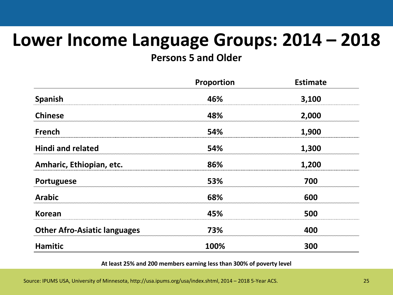# **Lower Income Language Groups: 2014 – 2018**

**Persons 5 and Older**

|                                     | Proportion | <b>Estimate</b> |
|-------------------------------------|------------|-----------------|
| Spanish                             | 46%        | 3,100           |
| <b>Chinese</b>                      | 48%        | 2,000           |
| <b>French</b>                       | 54%        | 1,900           |
| <b>Hindi and related</b>            | 54%        | 1,300           |
| Amharic, Ethiopian, etc.            | 86%        | 1,200           |
| Portuguese                          | 53%        | 700             |
| <b>Arabic</b>                       | 68%        | 600             |
| <b>Korean</b>                       | 45%        | 500             |
| <b>Other Afro-Asiatic languages</b> | 73%        | 400             |
| <b>Hamitic</b>                      | 100%       | 300             |

**At least 25% and 200 members earning less than 300% of poverty level**

Source: IPUMS USA, University of Minnesota, http://usa.ipums.org/usa/index.shtml, 2014 – 2018 5-Year ACS. 25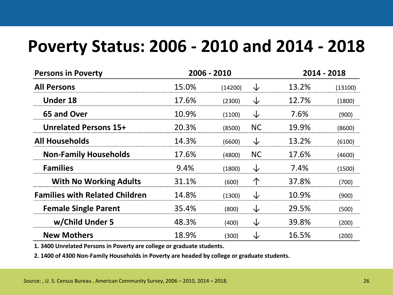#### **Poverty Status: 2006 - 2010 and 2014 - 2018**

| <b>Persons in Poverty</b>             | 2006 - 2010 |         | 2014 - 2018 |       |         |
|---------------------------------------|-------------|---------|-------------|-------|---------|
| <b>All Persons</b>                    | 15.0%       | (14200) | ↓           | 13.2% | (13100) |
| <b>Under 18</b>                       | 17.6%       | (2300)  | ↓           | 12.7% | (1800)  |
| 65 and Over                           | 10.9%       | (1100)  | ↓           | 7.6%  | (900)   |
| <b>Unrelated Persons 15+</b>          | 20.3%       | (8500)  | <b>NC</b>   | 19.9% | (8600)  |
| <b>All Households</b>                 | 14.3%       | (6600)  | ↓           | 13.2% | (6100)  |
| <b>Non-Family Households</b>          | 17.6%       | (4800)  | <b>NC</b>   | 17.6% | (4600)  |
| <b>Families</b>                       | 9.4%        | (1800)  | ↓           | 7.4%  | (1500)  |
| <b>With No Working Adults</b>         | 31.1%       | (600)   | 个           | 37.8% | (700)   |
| <b>Families with Related Children</b> | 14.8%       | (1300)  | ↓           | 10.9% | (900)   |
| <b>Female Single Parent</b>           | 35.4%       | (800)   | ↓           | 29.5% | (500)   |
| w/Child Under 5                       | 48.3%       | (400)   | ↓           | 39.8% | (200)   |
| <b>New Mothers</b>                    | 18.9%       | (300)   | ↓           | 16.5% | (200)   |

**1. 3400 Unrelated Persons in Poverty are college or graduate students.**

**2. 1400 of 4300 Non-Family Households in Poverty are headed by college or graduate students.**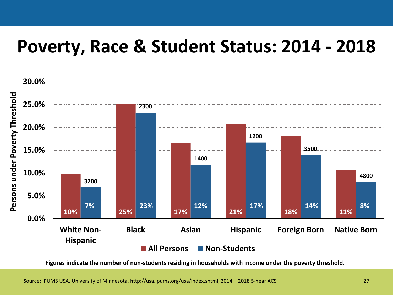# **Poverty, Race & Student Status: 2014 - 2018**



**Figures indicate the number of non-students residing in households with income under the poverty threshold.**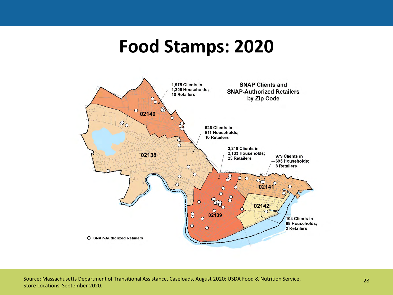## **Food Stamps: 2020**

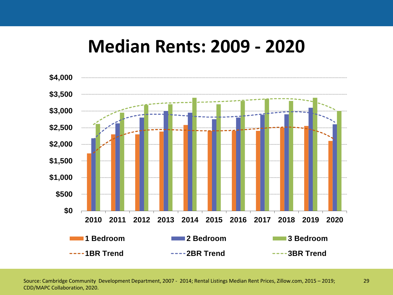#### **Median Rents: 2009 - 2020**



Source: Cambridge Community Development Department, 2007 - 2014; Rental Listings Median Rent Prices, Zillow.com, 2015 – 2019; 29 CDD/MAPC Collaboration, 2020.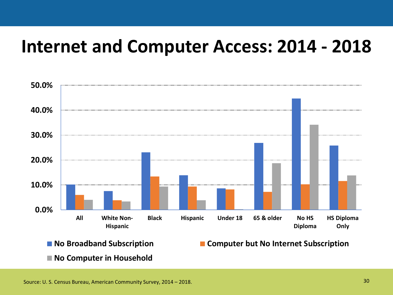## **Internet and Computer Access: 2014 - 2018**



**No Broadband Subscription Computer but No Internet Subscription**

**No Computer in Household**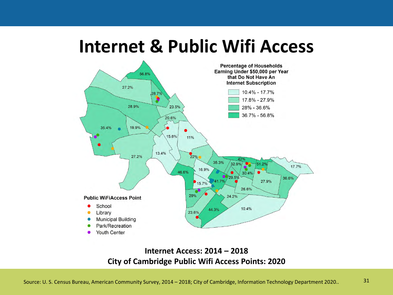#### **Internet & Public Wifi Access**



#### **Internet Access: 2014 – 2018 City of Cambridge Public Wifi Access Points: 2020**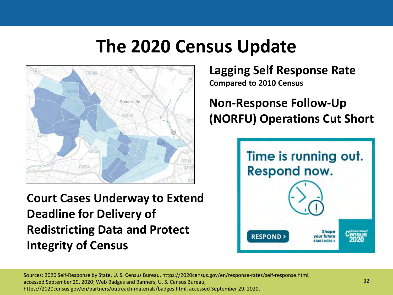# **The 2020 Census Update**



**Court Cases Underway to Extend Deadline for Delivery of Redistricting Data and Protect Integrity of Census** 

**Lagging Self Response Rate Compared to 2010 Census**

**Non-Response Follow-Up (NORFU) Operations Cut Short**



Sources: 2020 Self-Response by State, U. S. Census Bureau, https://2020census.gov/en/response-rates/self-response.html, accessed September 29, 2020; Web Badges and Banners, U. S. Census Bureau, https://2020census.gov/en/partners/outreach-materials/badges.html, accessed September 29, 2020.